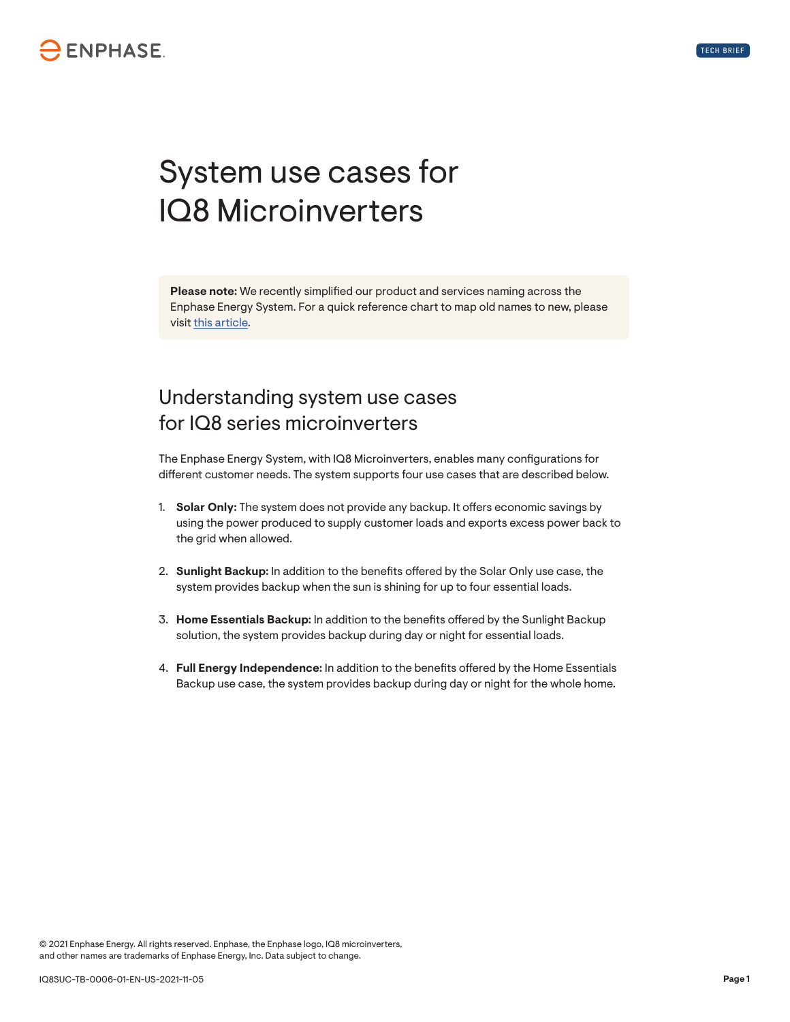## **ENPHASE**

# System use cases for IQ8 Microinverters

**Please note:** We recently simplified our product and services naming across the Enphase Energy System. For a quick reference chart to map old names to new, please visit this article.

#### Understanding system use cases for IQ8 series microinverters

The Enphase Energy System, with IQ8 Microinverters, enables many configurations for different customer needs. The system supports four use cases that are described below.

- 1. **Solar Only:** The system does not provide any backup. It offers economic savings by using the power produced to supply customer loads and exports excess power back to the grid when allowed.
- 2. **Sunlight Backup:** In addition to the benefits offered by the Solar Only use case, the system provides backup when the sun is shining for up to four essential loads.
- 3. **Home Essentials Backup:** In addition to the benefits offered by the Sunlight Backup solution, the system provides backup during day or night for essential loads.
- 4. **Full Energy Independence:** In addition to the benefits offered by the Home Essentials Backup use case, the system provides backup during day or night for the whole home.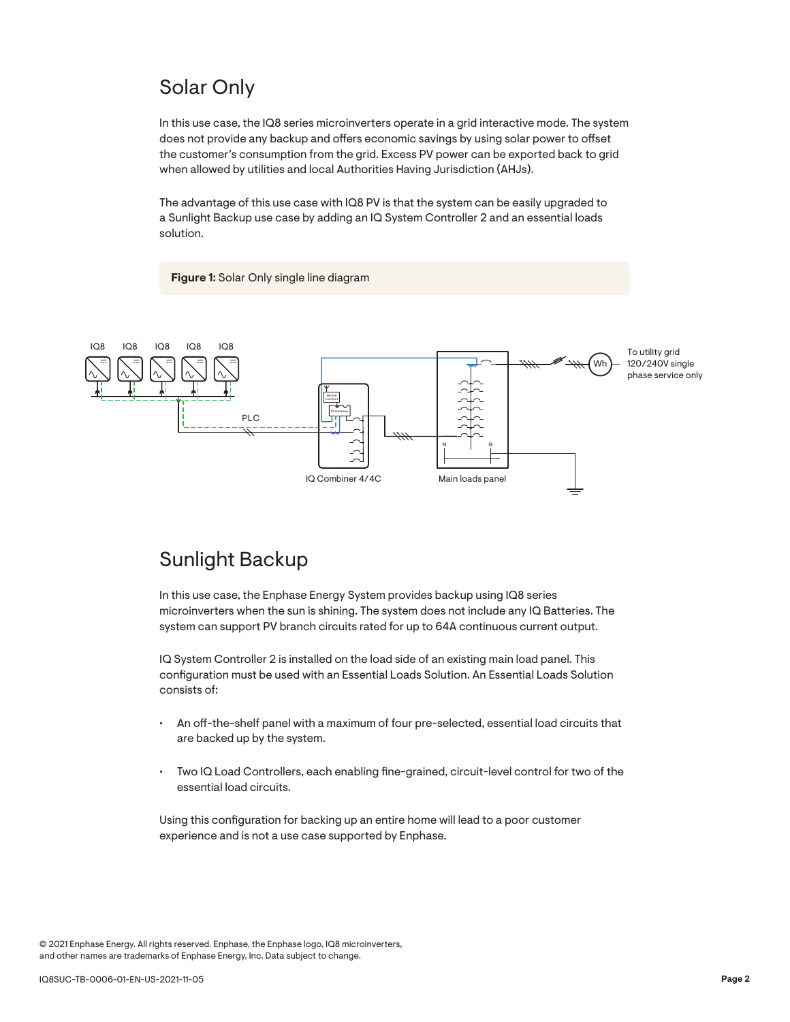### Solar Only

In this use case, the IQ8 series microinverters operate in a grid interactive mode. The system does not provide any backup and offers economic savings by using solar power to offset the customer's consumption from the grid. Excess PV power can be exported back to grid when allowed by utilities and local Authorities Having Jurisdiction (AHJs).

The advantage of this use case with IQ8 PV is that the system can be easily upgraded to a Sunlight Backup use case by adding an IQ System Controller 2 and an essential loads solution.

**Figure 1:** Solar Only single line diagram



### Sunlight Backup

In this use case, the Enphase Energy System provides backup using IQ8 series microinverters when the sun is shining. The system does not include any IQ Batteries. The system can support PV branch circuits rated for up to 64A continuous current output.

IQ System Controller 2 is installed on the load side of an existing main load panel. This configuration must be used with an Essential Loads Solution. An Essential Loads Solution consists of:

- An off-the-shelf panel with a maximum of four pre-selected, essential load circuits that are backed up by the system.
- Two IQ Load Controllers, each enabling fine-grained, circuit-level control for two of the essential load circuits.

Using this configuration for backing up an entire home will lead to a poor customer experience and is not a use case supported by Enphase.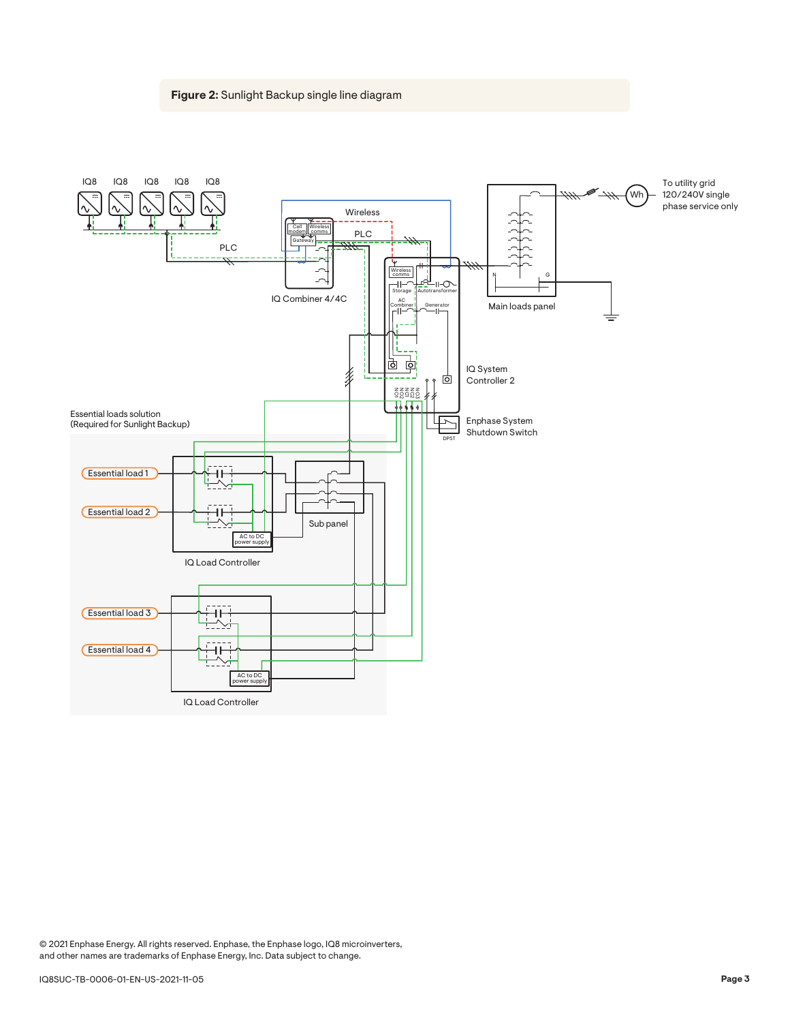#### **Figure 2:** Sunlight Backup single line diagram

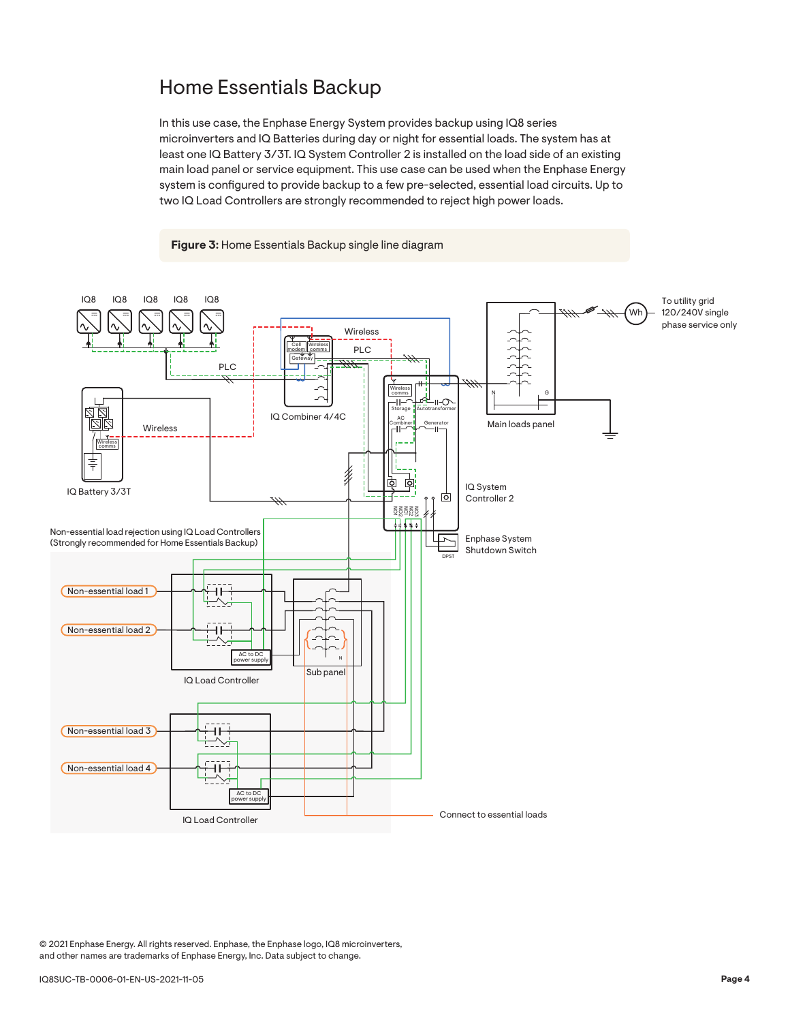#### Home Essentials Backup

In this use case, the Enphase Energy System provides backup using IQ8 series microinverters and IQ Batteries during day or night for essential loads. The system has at least one IQ Battery 3/3T. IQ System Controller 2 is installed on the load side of an existing main load panel or service equipment. This use case can be used when the Enphase Energy system is configured to provide backup to a few pre-selected, essential load circuits. Up to two IQ Load Controllers are strongly recommended to reject high power loads.



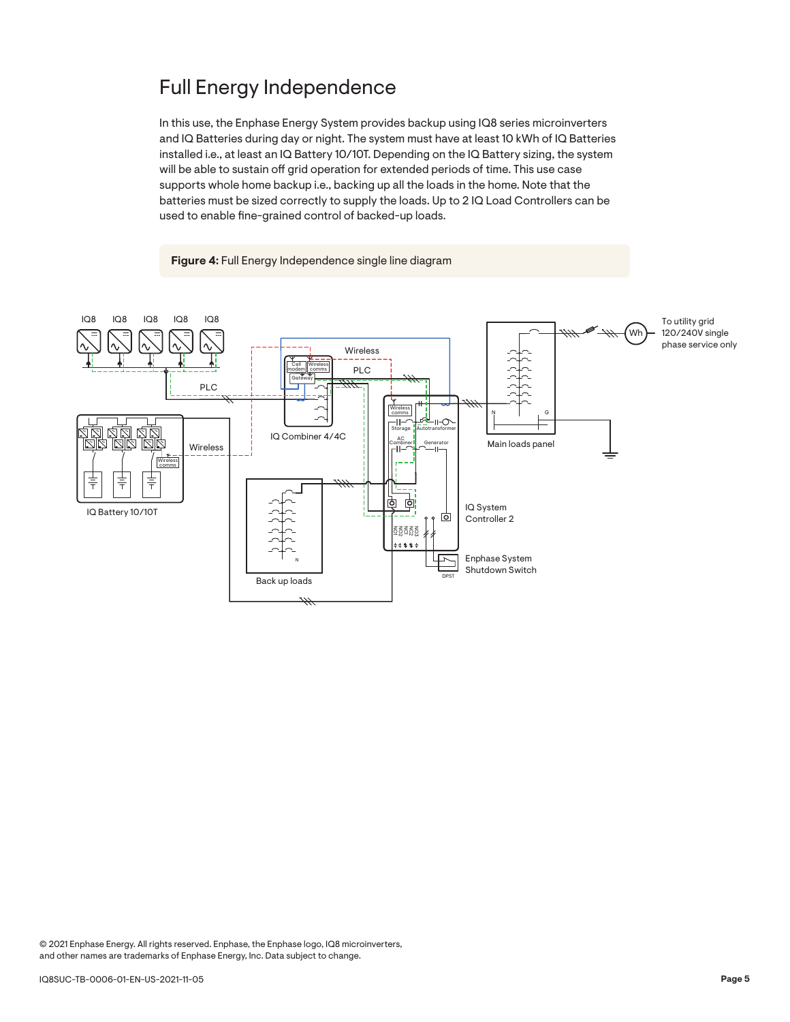### Full Energy Independence

In this use, the Enphase Energy System provides backup using IQ8 series microinverters and IQ Batteries during day or night. The system must have at least 10 kWh of IQ Batteries installed i.e., at least an IQ Battery 10/10T. Depending on the IQ Battery sizing, the system will be able to sustain off grid operation for extended periods of time. This use case supports whole home backup i.e., backing up all the loads in the home. Note that the batteries must be sized correctly to supply the loads. Up to 2 IQ Load Controllers can be used to enable fine-grained control of backed-up loads.

**Figure 4:** Full Energy Independence single line diagram

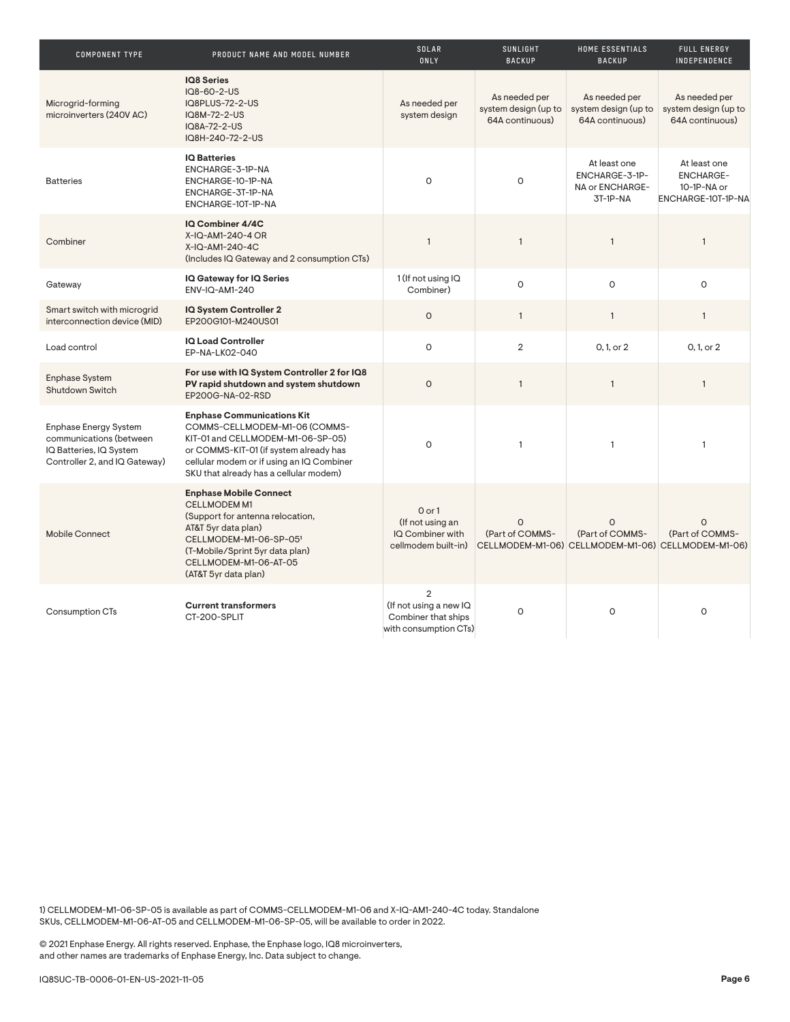| <b>COMPONENT TYPE</b>                                                                                               | PRODUCT NAME AND MODEL NUMBER                                                                                                                                                                                                            | SOLAR<br>ONLY                                                                            | SUNLIGHT<br><b>BACKUP</b>                                | HOME ESSENTIALS<br><b>BACKUP</b>                              | <b>FULL ENERGY</b><br>INDEPENDENCE                                                |
|---------------------------------------------------------------------------------------------------------------------|------------------------------------------------------------------------------------------------------------------------------------------------------------------------------------------------------------------------------------------|------------------------------------------------------------------------------------------|----------------------------------------------------------|---------------------------------------------------------------|-----------------------------------------------------------------------------------|
| Microgrid-forming<br>microinverters (240V AC)                                                                       | <b>IQ8 Series</b><br>IQ8-60-2-US<br>IQ8PLUS-72-2-US<br>IQ8M-72-2-US<br>IQ8A-72-2-US<br>IQ8H-240-72-2-US                                                                                                                                  | As needed per<br>system design                                                           | As needed per<br>system design (up to<br>64A continuous) | As needed per<br>system design (up to<br>64A continuous)      | As needed per<br>system design (up to<br>64A continuous)                          |
| <b>Batteries</b>                                                                                                    | <b>IQ Batteries</b><br>ENCHARGE-3-1P-NA<br>ENCHARGE-10-1P-NA<br>ENCHARGE-3T-1P-NA<br>ENCHARGE-10T-1P-NA                                                                                                                                  | $\Omega$                                                                                 | $\Omega$                                                 | At least one<br>ENCHARGE-3-1P-<br>NA or ENCHARGE-<br>3T-1P-NA | At least one<br><b>ENCHARGE-</b><br>10-1P-NA or<br>ENCHARGE-10T-1P-NA             |
| Combiner                                                                                                            | IQ Combiner 4/4C<br>X-IQ-AM1-240-4 OR<br>X-IQ-AM1-240-4C<br>(Includes IQ Gateway and 2 consumption CTs)                                                                                                                                  | $\mathbf{1}$                                                                             | $\mathbf{1}$                                             | $\mathbf{1}$                                                  | $\mathbf{1}$                                                                      |
| Gateway                                                                                                             | IQ Gateway for IQ Series<br>ENV-IQ-AM1-240                                                                                                                                                                                               | 1 (If not using IQ<br>Combiner)                                                          | 0                                                        | $\circ$                                                       | O                                                                                 |
| Smart switch with microgrid<br>interconnection device (MID)                                                         | IQ System Controller 2<br>EP200G101-M240US01                                                                                                                                                                                             | $\circ$                                                                                  | $\mathbf{1}$                                             | $\mathbf{1}$                                                  | $\mathbf{1}$                                                                      |
| Load control                                                                                                        | IQ Load Controller<br>EP-NA-LK02-040                                                                                                                                                                                                     | $\circ$                                                                                  | $\overline{2}$                                           | 0, 1, or 2                                                    | 0, 1, or 2                                                                        |
| Enphase System<br>Shutdown Switch                                                                                   | For use with IQ System Controller 2 for IQ8<br>PV rapid shutdown and system shutdown<br>EP200G-NA-02-RSD                                                                                                                                 | $\circ$                                                                                  | $\mathbf{1}$                                             | $\mathbf{1}$                                                  | $\mathbf{1}$                                                                      |
| <b>Enphase Energy System</b><br>communications (between<br>IQ Batteries, IQ System<br>Controller 2, and IQ Gateway) | <b>Enphase Communications Kit</b><br>COMMS-CELLMODEM-M1-06 (COMMS-<br>KIT-01 and CELLMODEM-M1-06-SP-05)<br>or COMMS-KIT-01 (if system already has<br>cellular modem or if using an IQ Combiner<br>SKU that already has a cellular modem) | O                                                                                        | $\mathbf{1}$                                             | $\mathbf{1}$                                                  | $\mathbf{1}$                                                                      |
| <b>Mobile Connect</b>                                                                                               | <b>Enphase Mobile Connect</b><br>CELLMODEM M1<br>(Support for antenna relocation,<br>AT&T 5yr data plan)<br>CELLMODEM-M1-06-SP-051<br>(T-Mobile/Sprint 5yr data plan)<br>CELLMODEM-M1-06-AT-05<br>(AT&T 5yr data plan)                   | $0$ or $1$<br>(If not using an<br>IQ Combiner with<br>cellmodem built-in)                | $\mathsf{O}$<br>(Part of COMMS-                          | $\mathsf{O}$<br>(Part of COMMS-                               | $\Omega$<br>(Part of COMMS-<br>CELLMODEM-M1-06) CELLMODEM-M1-06) CELLMODEM-M1-06) |
| <b>Consumption CTs</b>                                                                                              | <b>Current transformers</b><br>CT-200-SPLIT                                                                                                                                                                                              | $\overline{2}$<br>(If not using a new IQ<br>Combiner that ships<br>with consumption CTs) | O                                                        | O                                                             | O                                                                                 |

1) CELLMODEM-M1-06-SP-05 is available as part of COMMS-CELLMODEM-M1-06 and X-IQ-AM1-240-4C today. Standalone SKUs, CELLMODEM-M1-06-AT-05 and CELLMODEM-M1-06-SP-05, will be available to order in 2022.